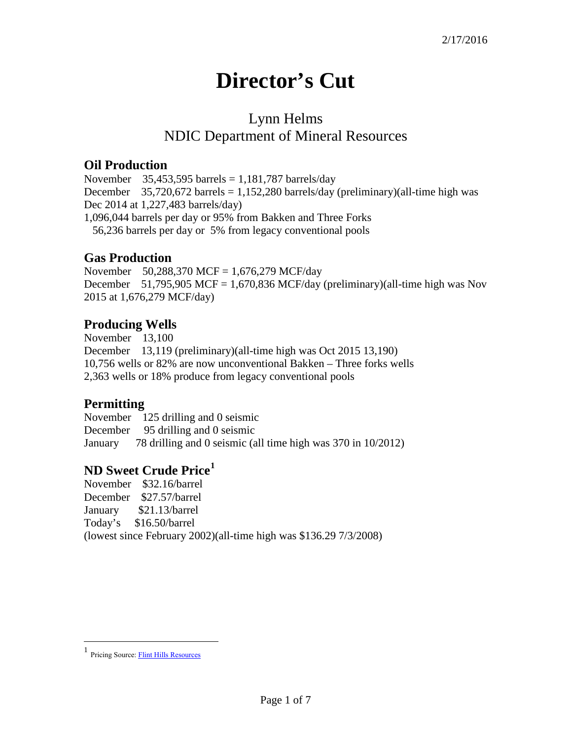# **Director's Cut**

## Lynn Helms NDIC Department of Mineral Resources

#### **Oil Production**

November 35,453,595 barrels =  $1,181,787$  barrels/day December  $35,720,672$  barrels = 1,152,280 barrels/day (preliminary)(all-time high was Dec 2014 at 1,227,483 barrels/day) 1,096,044 barrels per day or 95% from Bakken and Three Forks 56,236 barrels per day or 5% from legacy conventional pools

#### **Gas Production**

November 50,288,370 MCF = 1,676,279 MCF/day December 51,795,905 MCF = 1,670,836 MCF/day (preliminary)(all-time high was Nov 2015 at 1,676,279 MCF/day)

#### **Producing Wells**

November 13,100 December 13,119 (preliminary)(all-time high was Oct 2015 13,190) 10,756 wells or 82% are now unconventional Bakken – Three forks wells 2,363 wells or 18% produce from legacy conventional pools

#### **Permitting**

November 125 drilling and 0 seismic December 95 drilling and 0 seismic January 78 drilling and 0 seismic (all time high was 370 in 10/2012)

### **ND Sweet Crude Price[1](#page-0-0)**

November \$32.16/barrel December \$27.57/barrel January \$21.13/barrel Today's \$16.50/barrel (lowest since February 2002)(all-time high was \$136.29 7/3/2008)

 $\overline{a}$ 

<span id="page-0-0"></span><sup>1</sup> Pricing Source[: Flint Hills Resources](http://www.fhr.com/refining/bulletins.aspx?AspxAutoDetectCookieSupport=1)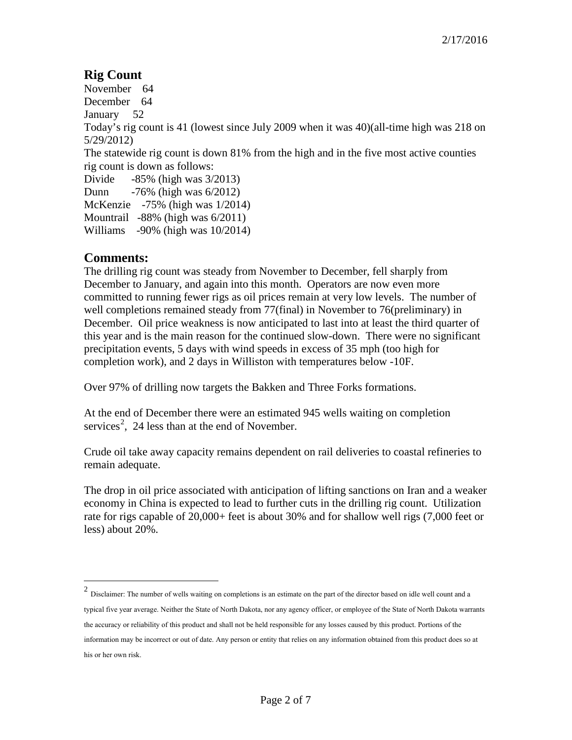### **Rig Count**

November 64 December 64 January 52 Today's rig count is 41 (lowest since July 2009 when it was 40)(all-time high was 218 on 5/29/2012) The statewide rig count is down 81% from the high and in the five most active counties rig count is down as follows: Divide -85% (high was 3/2013) Dunn -76% (high was 6/2012) McKenzie -75% (high was 1/2014) Mountrail -88% (high was 6/2011) Williams -90% (high was 10/2014)

#### **Comments:**

 $\overline{a}$ 

The drilling rig count was steady from November to December, fell sharply from December to January, and again into this month. Operators are now even more committed to running fewer rigs as oil prices remain at very low levels. The number of well completions remained steady from 77(final) in November to 76(preliminary) in December. Oil price weakness is now anticipated to last into at least the third quarter of this year and is the main reason for the continued slow-down. There were no significant precipitation events, 5 days with wind speeds in excess of 35 mph (too high for completion work), and 2 days in Williston with temperatures below -10F.

Over 97% of drilling now targets the Bakken and Three Forks formations.

At the end of December there were an estimated 945 wells waiting on completion services<sup>[2](#page-1-0)</sup>, 24 less than at the end of November.

Crude oil take away capacity remains dependent on rail deliveries to coastal refineries to remain adequate.

The drop in oil price associated with anticipation of lifting sanctions on Iran and a weaker economy in China is expected to lead to further cuts in the drilling rig count. Utilization rate for rigs capable of 20,000+ feet is about 30% and for shallow well rigs (7,000 feet or less) about 20%.

<span id="page-1-0"></span> $2$  Disclaimer: The number of wells waiting on completions is an estimate on the part of the director based on idle well count and a typical five year average. Neither the State of North Dakota, nor any agency officer, or employee of the State of North Dakota warrants the accuracy or reliability of this product and shall not be held responsible for any losses caused by this product. Portions of the information may be incorrect or out of date. Any person or entity that relies on any information obtained from this product does so at his or her own risk.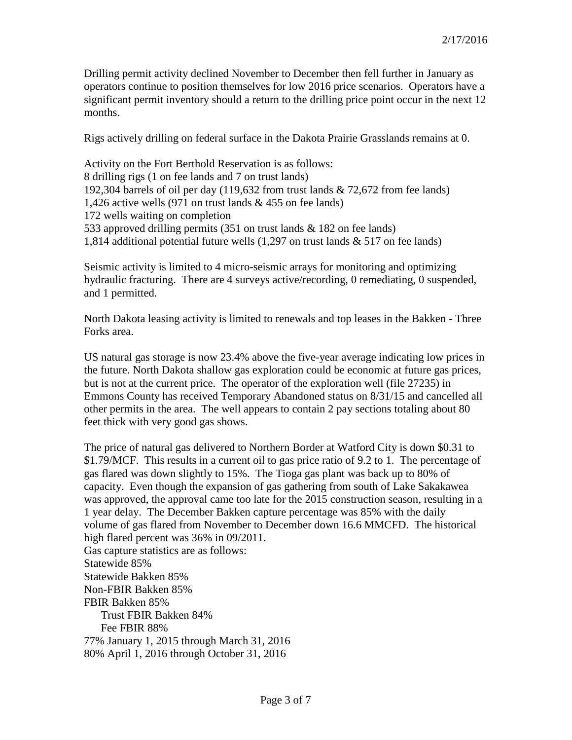Drilling permit activity declined November to December then fell further in January as operators continue to position themselves for low 2016 price scenarios. Operators have a significant permit inventory should a return to the drilling price point occur in the next 12 months.

Rigs actively drilling on federal surface in the Dakota Prairie Grasslands remains at 0.

Activity on the Fort Berthold Reservation is as follows: 8 drilling rigs (1 on fee lands and 7 on trust lands) 192,304 barrels of oil per day (119,632 from trust lands & 72,672 from fee lands) 1,426 active wells (971 on trust lands & 455 on fee lands) 172 wells waiting on completion 533 approved drilling permits (351 on trust lands & 182 on fee lands) 1,814 additional potential future wells (1,297 on trust lands & 517 on fee lands)

Seismic activity is limited to 4 micro-seismic arrays for monitoring and optimizing hydraulic fracturing. There are 4 surveys active/recording, 0 remediating, 0 suspended, and 1 permitted.

North Dakota leasing activity is limited to renewals and top leases in the Bakken - Three Forks area.

US natural gas storage is now 23.4% above the five-year average indicating low prices in the future. North Dakota shallow gas exploration could be economic at future gas prices, but is not at the current price. The operator of the exploration well (file 27235) in Emmons County has received Temporary Abandoned status on 8/31/15 and cancelled all other permits in the area. The well appears to contain 2 pay sections totaling about 80 feet thick with very good gas shows.

The price of natural gas delivered to Northern Border at Watford City is down \$0.31 to \$1.79/MCF. This results in a current oil to gas price ratio of 9.2 to 1. The percentage of gas flared was down slightly to 15%. The Tioga gas plant was back up to 80% of capacity. Even though the expansion of gas gathering from south of Lake Sakakawea was approved, the approval came too late for the 2015 construction season, resulting in a 1 year delay. The December Bakken capture percentage was 85% with the daily volume of gas flared from November to December down 16.6 MMCFD. The historical high flared percent was 36% in 09/2011. Gas capture statistics are as follows: Statewide 85% Statewide Bakken 85% Non-FBIR Bakken 85% FBIR Bakken 85% Trust FBIR Bakken 84% Fee FBIR 88% 77% January 1, 2015 through March 31, 2016 80% April 1, 2016 through October 31, 2016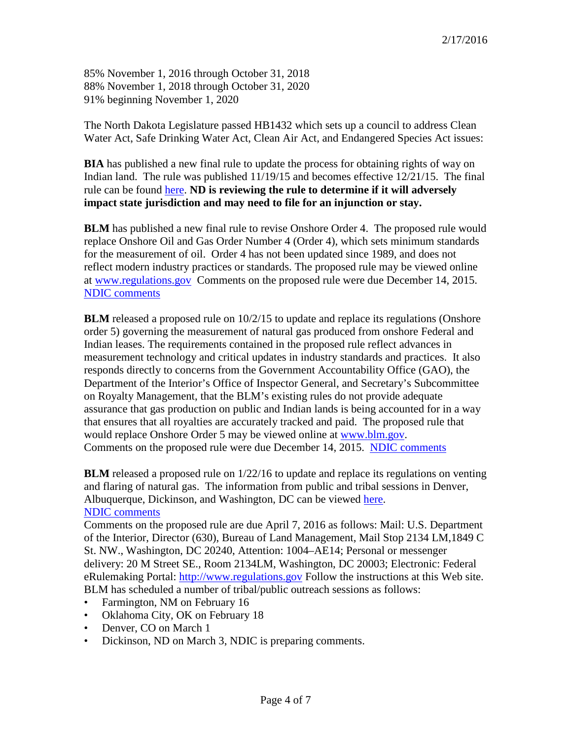85% November 1, 2016 through October 31, 2018 88% November 1, 2018 through October 31, 2020 91% beginning November 1, 2020

The North Dakota Legislature passed HB1432 which sets up a council to address Clean Water Act, Safe Drinking Water Act, Clean Air Act, and Endangered Species Act issues:

**BIA** has published a new final rule to update the process for obtaining rights of way on Indian land. The rule was published 11/19/15 and becomes effective 12/21/15. The final rule can be found [here.](https://www.federalregister.gov/articles/2015/11/19/2015-28548/rights-of-way-on-indian-land.) **ND is reviewing the rule to determine if it will adversely impact state jurisdiction and may need to file for an injunction or stay.**

**BLM** has published a new final rule to revise Onshore Order 4. The proposed rule would replace Onshore Oil and Gas Order Number 4 (Order 4), which sets minimum standards for the measurement of oil. Order 4 has not been updated since 1989, and does not reflect modern industry practices or standards. The proposed rule may be viewed online at [www.regulations.gov](http://www.regulations.gov/) Comments on the proposed rule were due December 14, 2015. [NDIC comments](http://www.nd.gov/ndic/ic-press/BLM-Comments-OnshoreOrder4.pdf)

**BLM** released a proposed rule on  $10/2/15$  to update and replace its regulations (Onshore order 5) governing the measurement of natural gas produced from onshore Federal and Indian leases. The requirements contained in the proposed rule reflect advances in measurement technology and critical updates in industry standards and practices. It also responds directly to concerns from the Government Accountability Office (GAO), the Department of the Interior's Office of Inspector General, and Secretary's Subcommittee on Royalty Management, that the BLM's existing rules do not provide adequate assurance that gas production on public and Indian lands is being accounted for in a way that ensures that all royalties are accurately tracked and paid. The proposed rule that would replace Onshore Order 5 may be viewed online at [www.blm.gov.](http://www.blm.gov/) Comments on the proposed rule were due December 14, 2015. [NDIC comments](http://www.nd.gov/ndic/ic-press/BLM-Comments-1004-AE17.pdf)

**BLM** released a proposed rule on 1/22/16 to update and replace its regulations on venting and flaring of natural gas. The information from public and tribal sessions in Denver, Albuquerque, Dickinson, and Washington, DC can be viewed [here.](http://www.blm.gov/wo/st/en/prog/energy/oil_and_gas/public_events_on_oil.html) [NDIC comments](http://www.nd.gov/ndic/ic-press/BLM-comments-140509.pdf)

Comments on the proposed rule are due April 7, 2016 as follows: Mail: U.S. Department of the Interior, Director (630), Bureau of Land Management, Mail Stop 2134 LM,1849 C St. NW., Washington, DC 20240, Attention: 1004–AE14; Personal or messenger delivery: 20 M Street SE., Room 2134LM, Washington, DC 20003; Electronic: Federal eRulemaking Portal: [http://www.regulations.gov](http://www.regulations.gov/) Follow the instructions at this Web site. BLM has scheduled a number of tribal/public outreach sessions as follows:

- Farmington, NM on February 16
- Oklahoma City, OK on February 18
- Denver, CO on March 1
- Dickinson, ND on March 3, NDIC is preparing comments.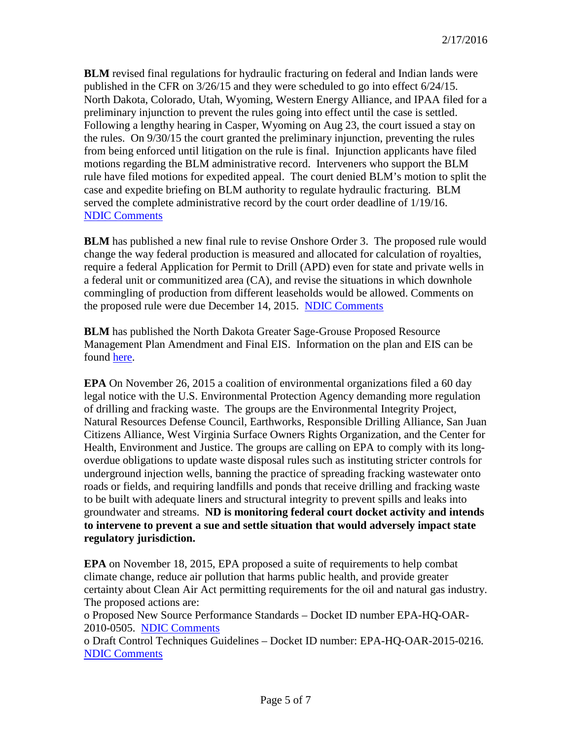**BLM** revised final regulations for hydraulic fracturing on federal and Indian lands were published in the CFR on 3/26/15 and they were scheduled to go into effect 6/24/15. North Dakota, Colorado, Utah, Wyoming, Western Energy Alliance, and IPAA filed for a preliminary injunction to prevent the rules going into effect until the case is settled. Following a lengthy hearing in Casper, Wyoming on Aug 23, the court issued a stay on the rules. On 9/30/15 the court granted the preliminary injunction, preventing the rules from being enforced until litigation on the rule is final. Injunction applicants have filed motions regarding the BLM administrative record. Interveners who support the BLM rule have filed motions for expedited appeal. The court denied BLM's motion to split the case and expedite briefing on BLM authority to regulate hydraulic fracturing. BLM served the complete administrative record by the court order deadline of 1/19/16. [NDIC Comments](http://www.nd.gov/ndic/ic-press/BLM-comments-120625.pdf)

**BLM** has published a new final rule to revise Onshore Order 3. The proposed rule would change the way federal production is measured and allocated for calculation of royalties, require a federal Application for Permit to Drill (APD) even for state and private wells in a federal unit or communitized area (CA), and revise the situations in which downhole commingling of production from different leaseholds would be allowed. Comments on the proposed rule were due December 14, 2015. [NDIC Comments](http://www.nd.gov/ndic/ic-press/BLM-Comments-OnshoreOrder3.pdf)

**BLM** has published the North Dakota Greater Sage-Grouse Proposed Resource Management Plan Amendment and Final EIS. Information on the plan and EIS can be found [here.](https://www.blm.gov/epl-front-office/eplanning/planAndProjectSite.do?methodName=dispatchToPatternPage¤tPageId=48797)

**EPA** On November 26, 2015 a coalition of environmental organizations filed a 60 day legal notice with the U.S. Environmental Protection Agency demanding more regulation of drilling and fracking waste. The groups are the Environmental Integrity Project, Natural Resources Defense Council, Earthworks, Responsible Drilling Alliance, San Juan Citizens Alliance, West Virginia Surface Owners Rights Organization, and the Center for Health, Environment and Justice. The groups are calling on EPA to comply with its longoverdue obligations to update waste disposal rules such as instituting stricter controls for underground injection wells, banning the practice of spreading fracking wastewater onto roads or fields, and requiring landfills and ponds that receive drilling and fracking waste to be built with adequate liners and structural integrity to prevent spills and leaks into groundwater and streams. **ND is monitoring federal court docket activity and intends to intervene to prevent a sue and settle situation that would adversely impact state regulatory jurisdiction.**

**EPA** on November 18, 2015, EPA proposed a suite of requirements to help combat climate change, reduce air pollution that harms public health, and provide greater certainty about Clean Air Act permitting requirements for the oil and natural gas industry. The proposed actions are:

o Proposed New Source Performance Standards – Docket ID number EPA-HQ-OAR-2010-0505. [NDIC Comments](http://www.nd.gov/ndic/ic-press/EPA-HQ-OAR-2010-0505.pdf)

o Draft Control Techniques Guidelines – Docket ID number: EPA-HQ-OAR-2015-0216. [NDIC Comments](http://www.nd.gov/ndic/ic-press/EPA-HQ-OAR-2015-0216.pdf)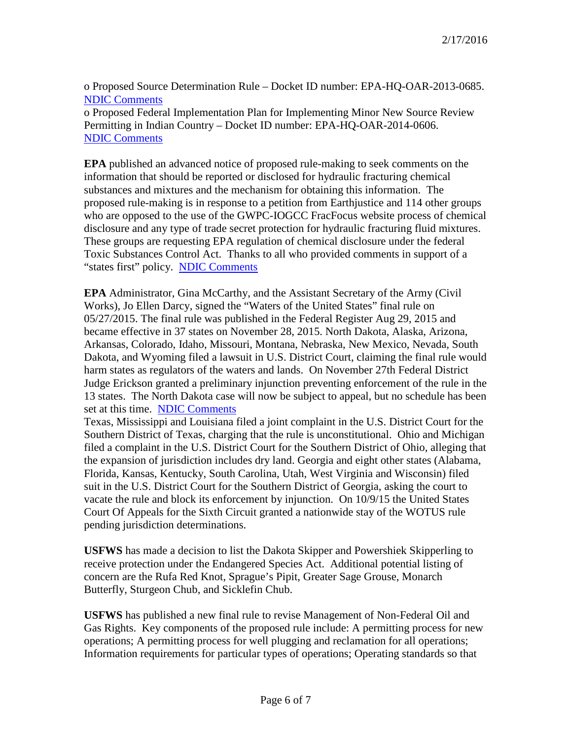o Proposed Source Determination Rule – Docket ID number: EPA-HQ-OAR-2013-0685. [NDIC Comments](http://www.nd.gov/ndic/ic-press/EPA-HQ-OAR-2013-0685.pdf)

o Proposed Federal Implementation Plan for Implementing Minor New Source Review Permitting in Indian Country – Docket ID number: EPA-HQ-OAR-2014-0606. [NDIC Comments](http://www.nd.gov/ndic/ic-press/EPA-HQ-OAR-2014-0606.pdf)

**EPA** published an advanced notice of proposed rule-making to seek comments on the information that should be reported or disclosed for hydraulic fracturing chemical substances and mixtures and the mechanism for obtaining this information. The proposed rule-making is in response to a petition from Earthjustice and 114 other groups who are opposed to the use of the GWPC-IOGCC FracFocus website process of chemical disclosure and any type of trade secret protection for hydraulic fracturing fluid mixtures. These groups are requesting EPA regulation of chemical disclosure under the federal Toxic Substances Control Act. Thanks to all who provided comments in support of a "states first" policy. [NDIC Comments](http://www.nd.gov/ndic/ic-press/DMR-frac714.pdf)

**EPA** Administrator, Gina McCarthy, and the Assistant Secretary of the Army (Civil Works), Jo Ellen Darcy, signed the "Waters of the United States" final rule on 05/27/2015. The final rule was published in the Federal Register Aug 29, 2015 and became effective in 37 states on November 28, 2015. North Dakota, Alaska, Arizona, Arkansas, Colorado, Idaho, Missouri, Montana, Nebraska, New Mexico, Nevada, South Dakota, and Wyoming filed a lawsuit in U.S. District Court, claiming the final rule would harm states as regulators of the waters and lands. On November 27th Federal District Judge Erickson granted a preliminary injunction preventing enforcement of the rule in the 13 states. The North Dakota case will now be subject to appeal, but no schedule has been set at this time. [NDIC Comments](http://www.nd.gov/ndic/ic-press/WOTUS-comments.pdf)

Texas, Mississippi and Louisiana filed a joint complaint in the U.S. District Court for the Southern District of Texas, charging that the rule is unconstitutional. Ohio and Michigan filed a complaint in the U.S. District Court for the Southern District of Ohio, alleging that the expansion of jurisdiction includes dry land. Georgia and eight other states (Alabama, Florida, Kansas, Kentucky, South Carolina, Utah, West Virginia and Wisconsin) filed suit in the U.S. District Court for the Southern District of Georgia, asking the court to vacate the rule and block its enforcement by injunction. On 10/9/15 the United States Court Of Appeals for the Sixth Circuit granted a nationwide stay of the WOTUS rule pending jurisdiction determinations.

**USFWS** has made a decision to list the Dakota Skipper and Powershiek Skipperling to receive protection under the Endangered Species Act. Additional potential listing of concern are the Rufa Red Knot, Sprague's Pipit, Greater Sage Grouse, Monarch Butterfly, Sturgeon Chub, and Sicklefin Chub.

**USFWS** has published a new final rule to revise Management of Non-Federal Oil and Gas Rights. Key components of the proposed rule include: A permitting process for new operations; A permitting process for well plugging and reclamation for all operations; Information requirements for particular types of operations; Operating standards so that